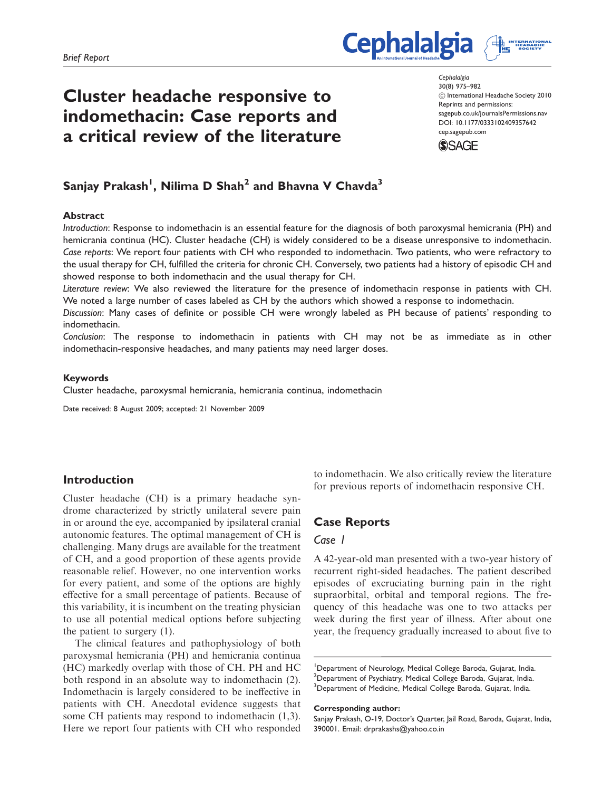# Cluster headache responsive to indomethacin: Case reports and a critical review of the literature

**Cephalalgia** 30(8) 975–982 ! International Headache Society 2010 Reprints and permissions: sagepub.co.uk/journalsPermissions.nav DOI: 10.1177/0333102409357642 cep.sagepub.com



**Cephalalgia** 

# Sanjay Prakash<sup>1</sup>, Nilima D Shah<sup>2</sup> and Bhavna V Chavda<sup>3</sup>

#### **Abstract**

Introduction: Response to indomethacin is an essential feature for the diagnosis of both paroxysmal hemicrania (PH) and hemicrania continua (HC). Cluster headache (CH) is widely considered to be a disease unresponsive to indomethacin. Case reports: We report four patients with CH who responded to indomethacin. Two patients, who were refractory to the usual therapy for CH, fulfilled the criteria for chronic CH. Conversely, two patients had a history of episodic CH and showed response to both indomethacin and the usual therapy for CH.

Literature review: We also reviewed the literature for the presence of indomethacin response in patients with CH. We noted a large number of cases labeled as CH by the authors which showed a response to indomethacin.

Discussion: Many cases of definite or possible CH were wrongly labeled as PH because of patients' responding to indomethacin.

Conclusion: The response to indomethacin in patients with CH may not be as immediate as in other indomethacin-responsive headaches, and many patients may need larger doses.

#### Keywords

Cluster headache, paroxysmal hemicrania, hemicrania continua, indomethacin

Date received: 8 August 2009; accepted: 21 November 2009

# Introduction

Cluster headache (CH) is a primary headache syndrome characterized by strictly unilateral severe pain in or around the eye, accompanied by ipsilateral cranial autonomic features. The optimal management of CH is challenging. Many drugs are available for the treatment of CH, and a good proportion of these agents provide reasonable relief. However, no one intervention works for every patient, and some of the options are highly effective for a small percentage of patients. Because of this variability, it is incumbent on the treating physician to use all potential medical options before subjecting the patient to surgery (1).

The clinical features and pathophysiology of both paroxysmal hemicrania (PH) and hemicrania continua (HC) markedly overlap with those of CH. PH and HC both respond in an absolute way to indomethacin (2). Indomethacin is largely considered to be ineffective in patients with CH. Anecdotal evidence suggests that some CH patients may respond to indomethacin (1,3). Here we report four patients with CH who responded

to indomethacin. We also critically review the literature for previous reports of indomethacin responsive CH.

# Case Reports

# Case 1

A 42-year-old man presented with a two-year history of recurrent right-sided headaches. The patient described episodes of excruciating burning pain in the right supraorbital, orbital and temporal regions. The frequency of this headache was one to two attacks per week during the first year of illness. After about one year, the frequency gradually increased to about five to

<sup>1</sup>Department of Neurology, Medical College Baroda, Gujarat, India. <sup>2</sup>Department of Psychiatry, Medical College Baroda, Gujarat, India. <sup>3</sup>Department of Medicine, Medical College Baroda, Gujarat, India.

#### Corresponding author:

Sanjay Prakash, O-19, Doctor's Quarter, Jail Road, Baroda, Gujarat, India, 390001. Email: drprakashs@yahoo.co.in

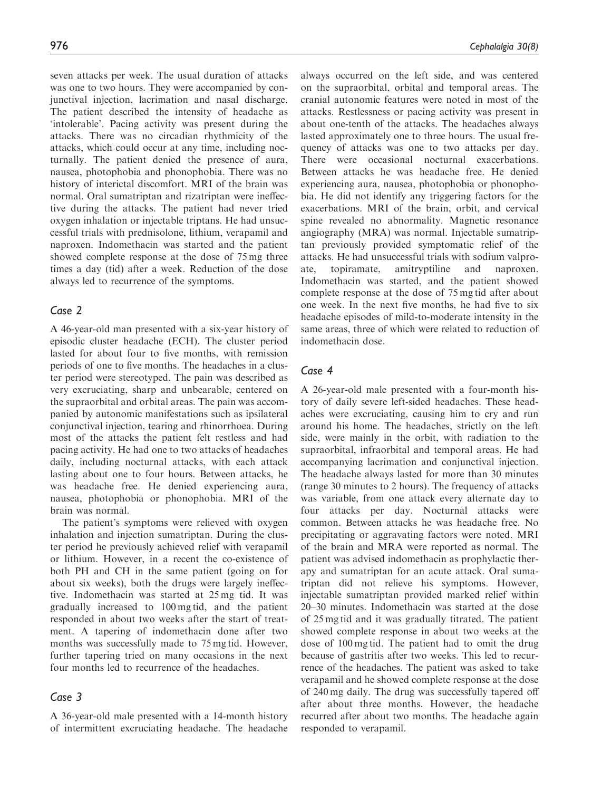seven attacks per week. The usual duration of attacks was one to two hours. They were accompanied by conjunctival injection, lacrimation and nasal discharge. The patient described the intensity of headache as 'intolerable'. Pacing activity was present during the attacks. There was no circadian rhythmicity of the attacks, which could occur at any time, including nocturnally. The patient denied the presence of aura, nausea, photophobia and phonophobia. There was no history of interictal discomfort. MRI of the brain was normal. Oral sumatriptan and rizatriptan were ineffective during the attacks. The patient had never tried oxygen inhalation or injectable triptans. He had unsuccessful trials with prednisolone, lithium, verapamil and naproxen. Indomethacin was started and the patient

showed complete response at the dose of 75 mg three times a day (tid) after a week. Reduction of the dose always led to recurrence of the symptoms.

# Case 2

A 46-year-old man presented with a six-year history of episodic cluster headache (ECH). The cluster period lasted for about four to five months, with remission periods of one to five months. The headaches in a cluster period were stereotyped. The pain was described as very excruciating, sharp and unbearable, centered on the supraorbital and orbital areas. The pain was accompanied by autonomic manifestations such as ipsilateral conjunctival injection, tearing and rhinorrhoea. During most of the attacks the patient felt restless and had pacing activity. He had one to two attacks of headaches daily, including nocturnal attacks, with each attack lasting about one to four hours. Between attacks, he was headache free. He denied experiencing aura, nausea, photophobia or phonophobia. MRI of the brain was normal.

The patient's symptoms were relieved with oxygen inhalation and injection sumatriptan. During the cluster period he previously achieved relief with verapamil or lithium. However, in a recent the co-existence of both PH and CH in the same patient (going on for about six weeks), both the drugs were largely ineffective. Indomethacin was started at 25 mg tid. It was gradually increased to 100 mg tid, and the patient responded in about two weeks after the start of treatment. A tapering of indomethacin done after two months was successfully made to 75 mg tid. However, further tapering tried on many occasions in the next four months led to recurrence of the headaches.

# Case 3

A 36-year-old male presented with a 14-month history of intermittent excruciating headache. The headache always occurred on the left side, and was centered on the supraorbital, orbital and temporal areas. The cranial autonomic features were noted in most of the attacks. Restlessness or pacing activity was present in about one-tenth of the attacks. The headaches always lasted approximately one to three hours. The usual frequency of attacks was one to two attacks per day. There were occasional nocturnal exacerbations. Between attacks he was headache free. He denied experiencing aura, nausea, photophobia or phonophobia. He did not identify any triggering factors for the exacerbations. MRI of the brain, orbit, and cervical spine revealed no abnormality. Magnetic resonance angiography (MRA) was normal. Injectable sumatriptan previously provided symptomatic relief of the attacks. He had unsuccessful trials with sodium valproate, topiramate, amitryptiline and naproxen. Indomethacin was started, and the patient showed complete response at the dose of 75 mg tid after about one week. In the next five months, he had five to six headache episodes of mild-to-moderate intensity in the same areas, three of which were related to reduction of indomethacin dose.

# Case 4

A 26-year-old male presented with a four-month history of daily severe left-sided headaches. These headaches were excruciating, causing him to cry and run around his home. The headaches, strictly on the left side, were mainly in the orbit, with radiation to the supraorbital, infraorbital and temporal areas. He had accompanying lacrimation and conjunctival injection. The headache always lasted for more than 30 minutes (range 30 minutes to 2 hours). The frequency of attacks was variable, from one attack every alternate day to four attacks per day. Nocturnal attacks were common. Between attacks he was headache free. No precipitating or aggravating factors were noted. MRI of the brain and MRA were reported as normal. The patient was advised indomethacin as prophylactic therapy and sumatriptan for an acute attack. Oral sumatriptan did not relieve his symptoms. However, injectable sumatriptan provided marked relief within 20–30 minutes. Indomethacin was started at the dose of 25 mg tid and it was gradually titrated. The patient showed complete response in about two weeks at the dose of 100 mg tid. The patient had to omit the drug because of gastritis after two weeks. This led to recurrence of the headaches. The patient was asked to take verapamil and he showed complete response at the dose of 240 mg daily. The drug was successfully tapered off after about three months. However, the headache recurred after about two months. The headache again responded to verapamil.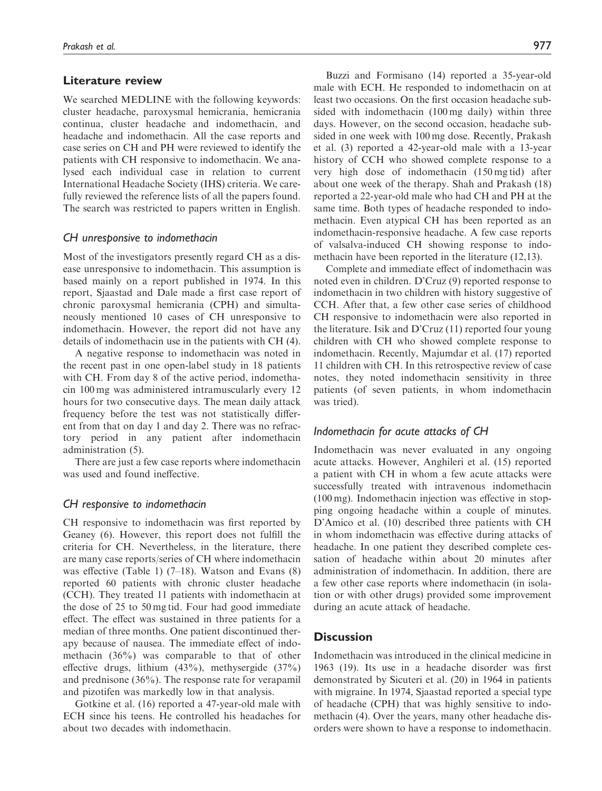# Literature review

We searched MEDLINE with the following keywords: cluster headache, paroxysmal hemicrania, hemicrania continua, cluster headache and indomethacin, and headache and indomethacin. All the case reports and case series on CH and PH were reviewed to identify the patients with CH responsive to indomethacin. We analysed each individual case in relation to current International Headache Society (IHS) criteria. We carefully reviewed the reference lists of all the papers found. The search was restricted to papers written in English.

## CH unresponsive to indomethacin

Most of the investigators presently regard CH as a disease unresponsive to indomethacin. This assumption is based mainly on a report published in 1974. In this report, Sjaastad and Dale made a first case report of chronic paroxysmal hemicrania (CPH) and simultaneously mentioned 10 cases of CH unresponsive to indomethacin. However, the report did not have any details of indomethacin use in the patients with CH (4).

A negative response to indomethacin was noted in the recent past in one open-label study in 18 patients with CH. From day 8 of the active period, indomethacin 100 mg was administered intramuscularly every 12 hours for two consecutive days. The mean daily attack frequency before the test was not statistically different from that on day 1 and day 2. There was no refractory period in any patient after indomethacin administration (5).

There are just a few case reports where indomethacin was used and found ineffective.

#### CH responsive to indomethacin

CH responsive to indomethacin was first reported by Geaney (6). However, this report does not fulfill the criteria for CH. Nevertheless, in the literature, there are many case reports/series of CH where indomethacin was effective (Table 1)  $(7-18)$ . Watson and Evans  $(8)$ reported 60 patients with chronic cluster headache (CCH). They treated 11 patients with indomethacin at the dose of 25 to 50 mg tid. Four had good immediate effect. The effect was sustained in three patients for a median of three months. One patient discontinued therapy because of nausea. The immediate effect of indomethacin (36%) was comparable to that of other effective drugs, lithium (43%), methysergide (37%) and prednisone (36%). The response rate for verapamil and pizotifen was markedly low in that analysis.

Gotkine et al. (16) reported a 47-year-old male with ECH since his teens. He controlled his headaches for about two decades with indomethacin.

Buzzi and Formisano (14) reported a 35-year-old male with ECH. He responded to indomethacin on at least two occasions. On the first occasion headache subsided with indomethacin (100 mg daily) within three days. However, on the second occasion, headache subsided in one week with 100 mg dose. Recently, Prakash et al. (3) reported a 42-year-old male with a 13-year history of CCH who showed complete response to a very high dose of indomethacin (150 mg tid) after about one week of the therapy. Shah and Prakash (18) reported a 22-year-old male who had CH and PH at the same time. Both types of headache responded to indomethacin. Even atypical CH has been reported as an indomethacin-responsive headache. A few case reports of valsalva-induced CH showing response to indomethacin have been reported in the literature (12,13).

Complete and immediate effect of indomethacin was noted even in children. D'Cruz (9) reported response to indomethacin in two children with history suggestive of CCH. After that, a few other case series of childhood CH responsive to indomethacin were also reported in the literature. Isik and D'Cruz (11) reported four young children with CH who showed complete response to indomethacin. Recently, Majumdar et al. (17) reported 11 children with CH. In this retrospective review of case notes, they noted indomethacin sensitivity in three patients (of seven patients, in whom indomethacin was tried).

# Indomethacin for acute attacks of CH

Indomethacin was never evaluated in any ongoing acute attacks. However, Anghileri et al. (15) reported a patient with CH in whom a few acute attacks were successfully treated with intravenous indomethacin (100 mg). Indomethacin injection was effective in stopping ongoing headache within a couple of minutes. D'Amico et al. (10) described three patients with CH in whom indomethacin was effective during attacks of headache. In one patient they described complete cessation of headache within about 20 minutes after administration of indomethacin. In addition, there are a few other case reports where indomethacin (in isolation or with other drugs) provided some improvement during an acute attack of headache.

# **Discussion**

Indomethacin was introduced in the clinical medicine in 1963 (19). Its use in a headache disorder was first demonstrated by Sicuteri et al. (20) in 1964 in patients with migraine. In 1974, Sjaastad reported a special type of headache (CPH) that was highly sensitive to indomethacin (4). Over the years, many other headache disorders were shown to have a response to indomethacin.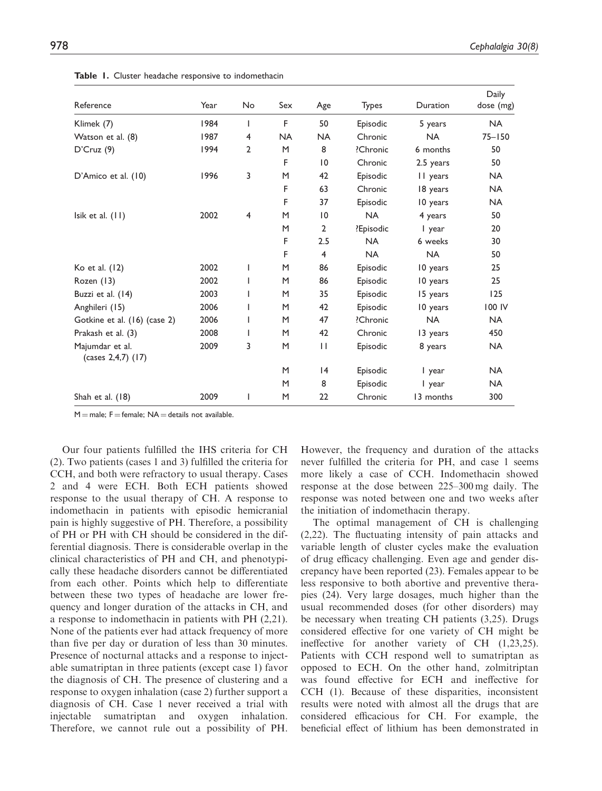| Reference                             | Year | No             | Sex       | Age             | <b>Types</b> | Duration  | Daily<br>dose (mg) |
|---------------------------------------|------|----------------|-----------|-----------------|--------------|-----------|--------------------|
| Klimek (7)                            | 1984 | $\mathbf{I}$   | F         | 50              | Episodic     | 5 years   | <b>NA</b>          |
| Watson et al. (8)                     | 1987 | 4              | <b>NA</b> | <b>NA</b>       | Chronic      | <b>NA</b> | $75 - 150$         |
| D'Cruz(9)                             | 1994 | $\overline{2}$ | M         | 8               | ?Chronic     | 6 months  | 50                 |
|                                       |      |                | F         | $\overline{10}$ | Chronic      | 2.5 years | 50                 |
| D'Amico et al. (10)                   | 1996 | 3              | M         | 42              | Episodic     | II years  | <b>NA</b>          |
|                                       |      |                | F         | 63              | Chronic      | 18 years  | <b>NA</b>          |
|                                       |      |                | F         | 37              | Episodic     | 10 years  | <b>NA</b>          |
| Isik et al. $(11)$                    | 2002 | $\overline{4}$ | M         | 10              | <b>NA</b>    | 4 years   | 50                 |
|                                       |      |                | M         | $\overline{2}$  | ?Episodic    | I year    | 20                 |
|                                       |      |                | F         | 2.5             | <b>NA</b>    | 6 weeks   | 30                 |
|                                       |      |                | F         | $\overline{4}$  | <b>NA</b>    | <b>NA</b> | 50                 |
| Ko et al. (12)                        | 2002 | I              | M         | 86              | Episodic     | 10 years  | 25                 |
| Rozen (13)                            | 2002 |                | M         | 86              | Episodic     | 10 years  | 25                 |
| Buzzi et al. (14)                     | 2003 |                | M         | 35              | Episodic     | 15 years  | 125                |
| Anghileri (15)                        | 2006 |                | M         | 42              | Episodic     | 10 years  | 100 IV             |
| Gotkine et al. (16) (case 2)          | 2006 | <b>I</b>       | M         | 47              | ?Chronic     | <b>NA</b> | <b>NA</b>          |
| Prakash et al. (3)                    | 2008 |                | M         | 42              | Chronic      | 13 years  | 450                |
| Majumdar et al.<br>(cases 2,4,7) (17) | 2009 | 3              | M         | $\mathbf{H}$    | Episodic     | 8 years   | <b>NA</b>          |
|                                       |      |                | M         | 4               | Episodic     | I year    | <b>NA</b>          |
|                                       |      |                | M         | 8               | Episodic     | I year    | <b>NA</b>          |
| Shah et al. (18)                      | 2009 |                | M         | 22              | Chronic      | 13 months | 300                |

Table 1. Cluster headache responsive to indomethacin

 $M =$  male:  $F =$  female:  $NA =$  details not available.

Our four patients fulfilled the IHS criteria for CH (2). Two patients (cases 1 and 3) fulfilled the criteria for CCH, and both were refractory to usual therapy. Cases 2 and 4 were ECH. Both ECH patients showed response to the usual therapy of CH. A response to indomethacin in patients with episodic hemicranial pain is highly suggestive of PH. Therefore, a possibility of PH or PH with CH should be considered in the differential diagnosis. There is considerable overlap in the clinical characteristics of PH and CH, and phenotypically these headache disorders cannot be differentiated from each other. Points which help to differentiate between these two types of headache are lower frequency and longer duration of the attacks in CH, and a response to indomethacin in patients with PH (2,21). None of the patients ever had attack frequency of more than five per day or duration of less than 30 minutes. Presence of nocturnal attacks and a response to injectable sumatriptan in three patients (except case 1) favor the diagnosis of CH. The presence of clustering and a response to oxygen inhalation (case 2) further support a diagnosis of CH. Case 1 never received a trial with injectable sumatriptan and oxygen inhalation. Therefore, we cannot rule out a possibility of PH. However, the frequency and duration of the attacks never fulfilled the criteria for PH, and case 1 seems more likely a case of CCH. Indomethacin showed response at the dose between 225–300 mg daily. The response was noted between one and two weeks after the initiation of indomethacin therapy.

The optimal management of CH is challenging (2,22). The fluctuating intensity of pain attacks and variable length of cluster cycles make the evaluation of drug efficacy challenging. Even age and gender discrepancy have been reported (23). Females appear to be less responsive to both abortive and preventive therapies (24). Very large dosages, much higher than the usual recommended doses (for other disorders) may be necessary when treating CH patients (3,25). Drugs considered effective for one variety of CH might be ineffective for another variety of CH (1,23,25). Patients with CCH respond well to sumatriptan as opposed to ECH. On the other hand, zolmitriptan was found effective for ECH and ineffective for CCH (1). Because of these disparities, inconsistent results were noted with almost all the drugs that are considered efficacious for CH. For example, the beneficial effect of lithium has been demonstrated in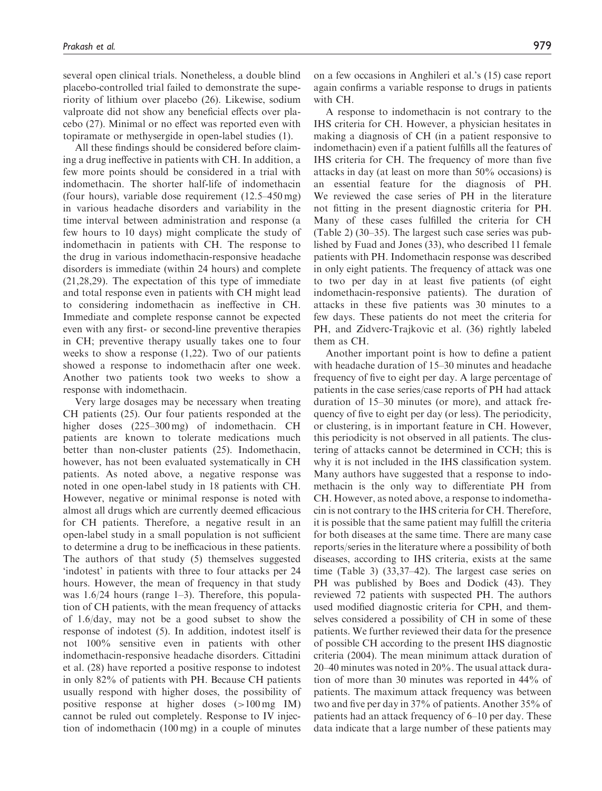several open clinical trials. Nonetheless, a double blind placebo-controlled trial failed to demonstrate the superiority of lithium over placebo (26). Likewise, sodium valproate did not show any beneficial effects over placebo (27). Minimal or no effect was reported even with topiramate or methysergide in open-label studies (1).

All these findings should be considered before claiming a drug ineffective in patients with CH. In addition, a few more points should be considered in a trial with indomethacin. The shorter half-life of indomethacin (four hours), variable dose requirement (12.5–450 mg) in various headache disorders and variability in the time interval between administration and response (a few hours to 10 days) might complicate the study of indomethacin in patients with CH. The response to the drug in various indomethacin-responsive headache disorders is immediate (within 24 hours) and complete (21,28,29). The expectation of this type of immediate and total response even in patients with CH might lead to considering indomethacin as ineffective in CH. Immediate and complete response cannot be expected even with any first- or second-line preventive therapies in CH; preventive therapy usually takes one to four weeks to show a response (1,22). Two of our patients showed a response to indomethacin after one week. Another two patients took two weeks to show a response with indomethacin.

Very large dosages may be necessary when treating CH patients (25). Our four patients responded at the higher doses (225–300 mg) of indomethacin. CH patients are known to tolerate medications much better than non-cluster patients (25). Indomethacin, however, has not been evaluated systematically in CH patients. As noted above, a negative response was noted in one open-label study in 18 patients with CH. However, negative or minimal response is noted with almost all drugs which are currently deemed efficacious for CH patients. Therefore, a negative result in an open-label study in a small population is not sufficient to determine a drug to be inefficacious in these patients. The authors of that study (5) themselves suggested 'indotest' in patients with three to four attacks per 24 hours. However, the mean of frequency in that study was 1.6/24 hours (range 1–3). Therefore, this population of CH patients, with the mean frequency of attacks of 1.6/day, may not be a good subset to show the response of indotest (5). In addition, indotest itself is not 100% sensitive even in patients with other indomethacin-responsive headache disorders. Cittadini et al. (28) have reported a positive response to indotest in only 82% of patients with PH. Because CH patients usually respond with higher doses, the possibility of positive response at higher doses (>100 mg IM) cannot be ruled out completely. Response to IV injection of indomethacin (100 mg) in a couple of minutes on a few occasions in Anghileri et al.'s (15) case report again confirms a variable response to drugs in patients with CH.

A response to indomethacin is not contrary to the IHS criteria for CH. However, a physician hesitates in making a diagnosis of CH (in a patient responsive to indomethacin) even if a patient fulfills all the features of IHS criteria for CH. The frequency of more than five attacks in day (at least on more than 50% occasions) is an essential feature for the diagnosis of PH. We reviewed the case series of PH in the literature not fitting in the present diagnostic criteria for PH. Many of these cases fulfilled the criteria for CH (Table 2) (30–35). The largest such case series was published by Fuad and Jones (33), who described 11 female patients with PH. Indomethacin response was described in only eight patients. The frequency of attack was one to two per day in at least five patients (of eight indomethacin-responsive patients). The duration of attacks in these five patients was 30 minutes to a few days. These patients do not meet the criteria for PH, and Zidverc-Trajkovic et al. (36) rightly labeled them as CH.

Another important point is how to define a patient with headache duration of 15–30 minutes and headache frequency of five to eight per day. A large percentage of patients in the case series/case reports of PH had attack duration of 15–30 minutes (or more), and attack frequency of five to eight per day (or less). The periodicity, or clustering, is in important feature in CH. However, this periodicity is not observed in all patients. The clustering of attacks cannot be determined in CCH; this is why it is not included in the IHS classification system. Many authors have suggested that a response to indomethacin is the only way to differentiate PH from CH. However, as noted above, a response to indomethacin is not contrary to the IHS criteria for CH. Therefore, it is possible that the same patient may fulfill the criteria for both diseases at the same time. There are many case reports/series in the literature where a possibility of both diseases, according to IHS criteria, exists at the same time (Table 3) (33,37–42). The largest case series on PH was published by Boes and Dodick (43). They reviewed 72 patients with suspected PH. The authors used modified diagnostic criteria for CPH, and themselves considered a possibility of CH in some of these patients. We further reviewed their data for the presence of possible CH according to the present IHS diagnostic criteria (2004). The mean minimum attack duration of 20–40 minutes was noted in 20%. The usual attack duration of more than 30 minutes was reported in 44% of patients. The maximum attack frequency was between two and five per day in 37% of patients. Another 35% of patients had an attack frequency of 6–10 per day. These data indicate that a large number of these patients may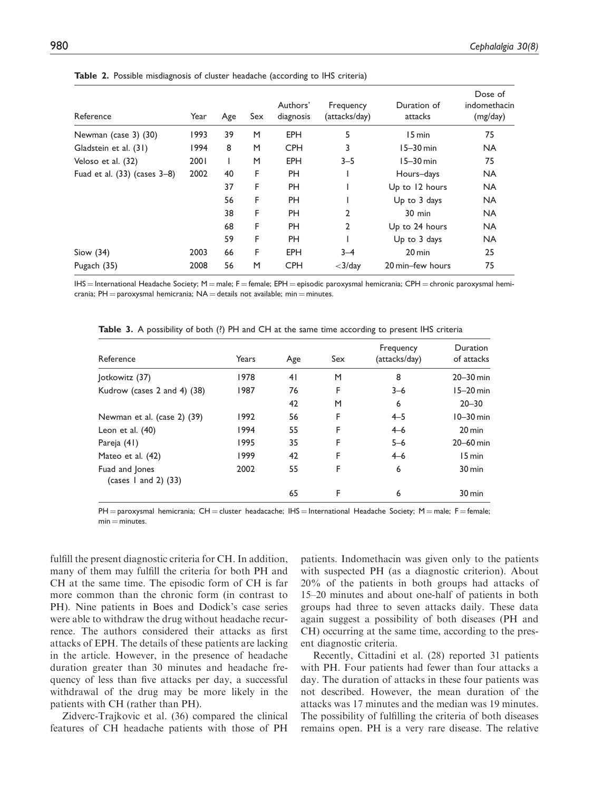| Reference                         | Year | Age | Sex | Authors'<br>diagnosis | Frequency<br>(attacks/day) | Duration of<br>attacks | Dose of<br>indomethacin<br>(mg/day) |
|-----------------------------------|------|-----|-----|-----------------------|----------------------------|------------------------|-------------------------------------|
| Newman (case 3) (30)              | 1993 | 39  | M   | <b>EPH</b>            | 5                          | 15 min                 | 75                                  |
| Gladstein et al. (31)             | 1994 | 8   | M   | <b>CPH</b>            | 3                          | $15-30$ min            | <b>NA</b>                           |
| Veloso et al. (32)                | 2001 |     | M   | <b>EPH</b>            | $3 - 5$                    | $15-30$ min            | 75                                  |
| Fuad et al. $(33)$ (cases $3-8$ ) | 2002 | 40  | F   | <b>PH</b>             |                            | Hours-days             | <b>NA</b>                           |
|                                   |      | 37  | F   | <b>PH</b>             |                            | Up to 12 hours         | <b>NA</b>                           |
|                                   |      | 56  | F   | <b>PH</b>             |                            | Up to 3 days           | <b>NA</b>                           |
|                                   |      | 38  | F   | <b>PH</b>             | 2                          | 30 min                 | <b>NA</b>                           |
|                                   |      | 68  | F   | <b>PH</b>             | $\overline{2}$             | Up to 24 hours         | <b>NA</b>                           |
|                                   |      | 59  | F   | <b>PH</b>             |                            | Up to 3 days           | <b>NA</b>                           |
| Siow $(34)$                       | 2003 | 66  | F   | <b>EPH</b>            | $3 - 4$                    | $20 \text{ min}$       | 25                                  |
| Pugach (35)                       | 2008 | 56  | M   | <b>CPH</b>            | $<$ 3/day                  | 20 min-few hours       | 75                                  |

Table 2. Possible misdiagnosis of cluster headache (according to IHS criteria)

 $IHS =$  International Headache Society; M = male; F = female; EPH = episodic paroxysmal hemicrania; CPH = chronic paroxysmal hemicrania;  $PH =$  paroxysmal hemicrania;  $NA =$  details not available; min  $=$  minutes.

| Reference                                | Years | Age | Sex | Frequency<br>(attacks/day) | Duration<br>of attacks |
|------------------------------------------|-------|-----|-----|----------------------------|------------------------|
| Jotkowitz (37)                           | 1978  | 41  | M   | 8                          | $20 - 30$ min          |
| Kudrow (cases 2 and 4) (38)              | 1987  | 76  | F   | $3 - 6$                    | $15-20$ min            |
|                                          |       | 42  | M   | 6                          | $20 - 30$              |
| Newman et al. (case 2) (39)              | 1992  | 56  | F   | $4 - 5$                    | $10-30$ min            |
| Leon et al. $(40)$                       | 1994  | 55  | F   | $4 - 6$                    | $20 \,\mathrm{min}$    |
| Pareja (41)                              | 1995  | 35  | F   | $5 - 6$                    | $20-60$ min            |
| Mateo et al. (42)                        | 1999  | 42  | F   | $4 - 6$                    | 15 min                 |
| Fuad and Jones<br>(cases 1 and 2) $(33)$ | 2002  | 55  | F   | 6                          | $30 \,\mathrm{min}$    |
|                                          |       | 65  | F   | 6                          | 30 min                 |

Table 3. A possibility of both (?) PH and CH at the same time according to present IHS criteria

 $PH =$  paroxysmal hemicrania; CH = cluster headacache; IHS = International Headache Society; M = male; F = female;  $min = minutes$ 

fulfill the present diagnostic criteria for CH. In addition, many of them may fulfill the criteria for both PH and CH at the same time. The episodic form of CH is far more common than the chronic form (in contrast to PH). Nine patients in Boes and Dodick's case series were able to withdraw the drug without headache recurrence. The authors considered their attacks as first attacks of EPH. The details of these patients are lacking in the article. However, in the presence of headache duration greater than 30 minutes and headache frequency of less than five attacks per day, a successful withdrawal of the drug may be more likely in the patients with CH (rather than PH).

Zidverc-Trajkovic et al. (36) compared the clinical features of CH headache patients with those of PH

patients. Indomethacin was given only to the patients with suspected PH (as a diagnostic criterion). About 20% of the patients in both groups had attacks of 15–20 minutes and about one-half of patients in both groups had three to seven attacks daily. These data again suggest a possibility of both diseases (PH and CH) occurring at the same time, according to the present diagnostic criteria.

Recently, Cittadini et al. (28) reported 31 patients with PH. Four patients had fewer than four attacks a day. The duration of attacks in these four patients was not described. However, the mean duration of the attacks was 17 minutes and the median was 19 minutes. The possibility of fulfilling the criteria of both diseases remains open. PH is a very rare disease. The relative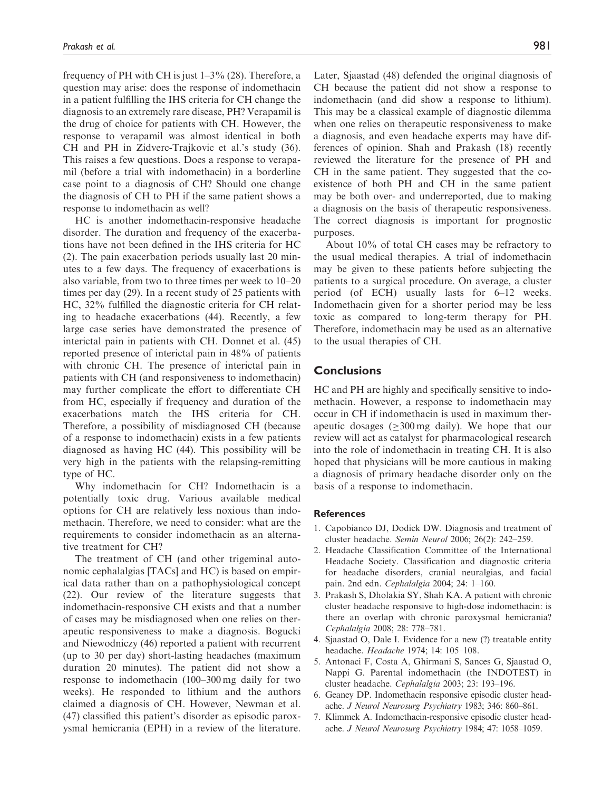frequency of PH with CH is just  $1-3\%$  (28). Therefore, a question may arise: does the response of indomethacin in a patient fulfilling the IHS criteria for CH change the diagnosis to an extremely rare disease, PH? Verapamil is the drug of choice for patients with CH. However, the response to verapamil was almost identical in both CH and PH in Zidverc-Trajkovic et al.'s study (36). This raises a few questions. Does a response to verapamil (before a trial with indomethacin) in a borderline case point to a diagnosis of CH? Should one change the diagnosis of CH to PH if the same patient shows a response to indomethacin as well?

HC is another indomethacin-responsive headache disorder. The duration and frequency of the exacerbations have not been defined in the IHS criteria for HC (2). The pain exacerbation periods usually last 20 minutes to a few days. The frequency of exacerbations is also variable, from two to three times per week to 10–20 times per day (29). In a recent study of 25 patients with HC, 32% fulfilled the diagnostic criteria for CH relating to headache exacerbations (44). Recently, a few large case series have demonstrated the presence of interictal pain in patients with CH. Donnet et al. (45) reported presence of interictal pain in 48% of patients with chronic CH. The presence of interictal pain in patients with CH (and responsiveness to indomethacin) may further complicate the effort to differentiate CH from HC, especially if frequency and duration of the exacerbations match the IHS criteria for CH. Therefore, a possibility of misdiagnosed CH (because of a response to indomethacin) exists in a few patients diagnosed as having HC (44). This possibility will be very high in the patients with the relapsing-remitting type of HC.

Why indomethacin for CH? Indomethacin is a potentially toxic drug. Various available medical options for CH are relatively less noxious than indomethacin. Therefore, we need to consider: what are the requirements to consider indomethacin as an alternative treatment for CH?

The treatment of CH (and other trigeminal autonomic cephalalgias [TACs] and HC) is based on empirical data rather than on a pathophysiological concept (22). Our review of the literature suggests that indomethacin-responsive CH exists and that a number of cases may be misdiagnosed when one relies on therapeutic responsiveness to make a diagnosis. Bogucki and Niewodniczy (46) reported a patient with recurrent (up to 30 per day) short-lasting headaches (maximum duration 20 minutes). The patient did not show a response to indomethacin (100–300 mg daily for two weeks). He responded to lithium and the authors claimed a diagnosis of CH. However, Newman et al. (47) classified this patient's disorder as episodic paroxysmal hemicrania (EPH) in a review of the literature. Later, Sjaastad (48) defended the original diagnosis of CH because the patient did not show a response to indomethacin (and did show a response to lithium). This may be a classical example of diagnostic dilemma when one relies on therapeutic responsiveness to make a diagnosis, and even headache experts may have differences of opinion. Shah and Prakash (18) recently reviewed the literature for the presence of PH and CH in the same patient. They suggested that the coexistence of both PH and CH in the same patient may be both over- and underreported, due to making a diagnosis on the basis of therapeutic responsiveness. The correct diagnosis is important for prognostic purposes.

About 10% of total CH cases may be refractory to the usual medical therapies. A trial of indomethacin may be given to these patients before subjecting the patients to a surgical procedure. On average, a cluster period (of ECH) usually lasts for 6–12 weeks. Indomethacin given for a shorter period may be less toxic as compared to long-term therapy for PH. Therefore, indomethacin may be used as an alternative to the usual therapies of CH.

## **Conclusions**

HC and PH are highly and specifically sensitive to indomethacin. However, a response to indomethacin may occur in CH if indomethacin is used in maximum therapeutic dosages ( $\geq$ 300 mg daily). We hope that our review will act as catalyst for pharmacological research into the role of indomethacin in treating CH. It is also hoped that physicians will be more cautious in making a diagnosis of primary headache disorder only on the basis of a response to indomethacin.

#### References

- 1. Capobianco DJ, Dodick DW. Diagnosis and treatment of cluster headache. Semin Neurol 2006; 26(2): 242–259.
- 2. Headache Classification Committee of the International Headache Society. Classification and diagnostic criteria for headache disorders, cranial neuralgias, and facial pain. 2nd edn. Cephalalgia 2004; 24: 1–160.
- 3. Prakash S, Dholakia SY, Shah KA. A patient with chronic cluster headache responsive to high-dose indomethacin: is there an overlap with chronic paroxysmal hemicrania? Cephalalgia 2008; 28: 778–781.
- 4. Sjaastad O, Dale I. Evidence for a new (?) treatable entity headache. Headache 1974; 14: 105–108.
- 5. Antonaci F, Costa A, Ghirmani S, Sances G, Sjaastad O, Nappi G. Parental indomethacin (the INDOTEST) in cluster headache. Cephalalgia 2003; 23: 193–196.
- 6. Geaney DP. Indomethacin responsive episodic cluster headache. J Neurol Neurosurg Psychiatry 1983; 346: 860–861.
- 7. Klimmek A. Indomethacin-responsive episodic cluster headache. J Neurol Neurosurg Psychiatry 1984; 47: 1058–1059.